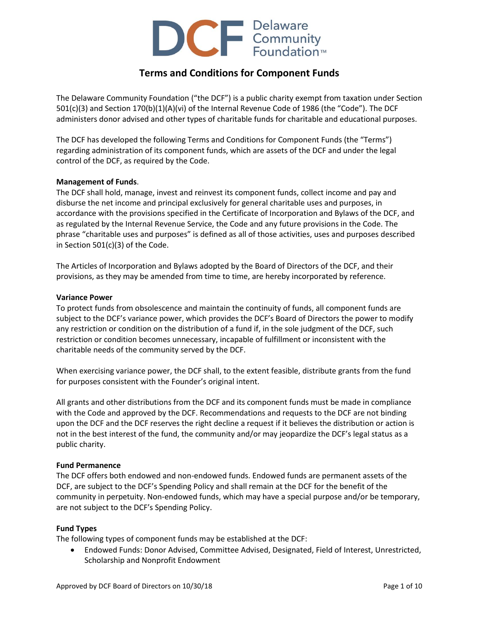

# **Terms and Conditions for Component Funds**

The Delaware Community Foundation ("the DCF") is a public charity exempt from taxation under Section 501(c)(3) and Section 170(b)(1)(A)(vi) of the Internal Revenue Code of 1986 (the "Code"). The DCF administers donor advised and other types of charitable funds for charitable and educational purposes.

The DCF has developed the following Terms and Conditions for Component Funds (the "Terms") regarding administration of its component funds, which are assets of the DCF and under the legal control of the DCF, as required by the Code.

## **Management of Funds**.

The DCF shall hold, manage, invest and reinvest its component funds, collect income and pay and disburse the net income and principal exclusively for general charitable uses and purposes, in accordance with the provisions specified in the Certificate of Incorporation and Bylaws of the DCF, and as regulated by the Internal Revenue Service, the Code and any future provisions in the Code. The phrase "charitable uses and purposes" is defined as all of those activities, uses and purposes described in Section 501(c)(3) of the Code.

The Articles of Incorporation and Bylaws adopted by the Board of Directors of the DCF, and their provisions, as they may be amended from time to time, are hereby incorporated by reference.

## **Variance Power**

To protect funds from obsolescence and maintain the continuity of funds, all component funds are subject to the DCF's variance power, which provides the DCF's Board of Directors the power to modify any restriction or condition on the distribution of a fund if, in the sole judgment of the DCF, such restriction or condition becomes unnecessary, incapable of fulfillment or inconsistent with the charitable needs of the community served by the DCF.

When exercising variance power, the DCF shall, to the extent feasible, distribute grants from the fund for purposes consistent with the Founder's original intent.

All grants and other distributions from the DCF and its component funds must be made in compliance with the Code and approved by the DCF. Recommendations and requests to the DCF are not binding upon the DCF and the DCF reserves the right decline a request if it believes the distribution or action is not in the best interest of the fund, the community and/or may jeopardize the DCF's legal status as a public charity.

### **Fund Permanence**

The DCF offers both endowed and non-endowed funds. Endowed funds are permanent assets of the DCF, are subject to the DCF's Spending Policy and shall remain at the DCF for the benefit of the community in perpetuity. Non-endowed funds, which may have a special purpose and/or be temporary, are not subject to the DCF's Spending Policy.

# **Fund Types**

The following types of component funds may be established at the DCF:

 Endowed Funds: Donor Advised, Committee Advised, Designated, Field of Interest, Unrestricted, Scholarship and Nonprofit Endowment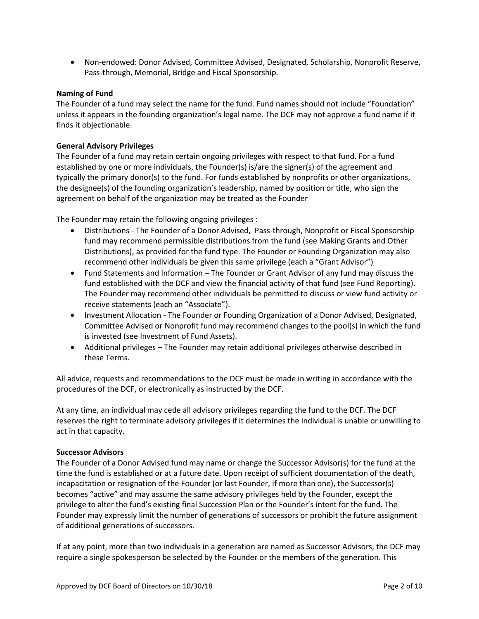Non-endowed: Donor Advised, Committee Advised, Designated, Scholarship, Nonprofit Reserve, Pass-through, Memorial, Bridge and Fiscal Sponsorship.

## **Naming of Fund**

The Founder of a fund may select the name for the fund. Fund names should not include "Foundation" unless it appears in the founding organization's legal name. The DCF may not approve a fund name if it finds it objectionable.

## **General Advisory Privileges**

The Founder of a fund may retain certain ongoing privileges with respect to that fund. For a fund established by one or more individuals, the Founder(s) is/are the signer(s) of the agreement and typically the primary donor(s) to the fund. For funds established by nonprofits or other organizations, the designee(s) of the founding organization's leadership, named by position or title, who sign the agreement on behalf of the organization may be treated as the Founder

The Founder may retain the following ongoing privileges :

- Distributions The Founder of a Donor Advised, Pass-through, Nonprofit or Fiscal Sponsorship fund may recommend permissible distributions from the fund (see Making Grants and Other Distributions), as provided for the fund type. The Founder or Founding Organization may also recommend other individuals be given this same privilege (each a "Grant Advisor")
- Fund Statements and Information The Founder or Grant Advisor of any fund may discuss the fund established with the DCF and view the financial activity of that fund (see Fund Reporting). The Founder may recommend other individuals be permitted to discuss or view fund activity or receive statements (each an "Associate").
- Investment Allocation The Founder or Founding Organization of a Donor Advised, Designated, Committee Advised or Nonprofit fund may recommend changes to the pool(s) in which the fund is invested (see Investment of Fund Assets).
- Additional privileges The Founder may retain additional privileges otherwise described in these Terms.

All advice, requests and recommendations to the DCF must be made in writing in accordance with the procedures of the DCF, or electronically as instructed by the DCF.

At any time, an individual may cede all advisory privileges regarding the fund to the DCF. The DCF reserves the right to terminate advisory privileges if it determines the individual is unable or unwilling to act in that capacity.

### **Successor Advisors**

The Founder of a Donor Advised fund may name or change the Successor Advisor(s) for the fund at the time the fund is established or at a future date. Upon receipt of sufficient documentation of the death, incapacitation or resignation of the Founder (or last Founder, if more than one), the Successor(s) becomes "active" and may assume the same advisory privileges held by the Founder, except the privilege to alter the fund's existing final Succession Plan or the Founder's intent for the fund. The Founder may expressly limit the number of generations of successors or prohibit the future assignment of additional generations of successors.

If at any point, more than two individuals in a generation are named as Successor Advisors, the DCF may require a single spokesperson be selected by the Founder or the members of the generation. This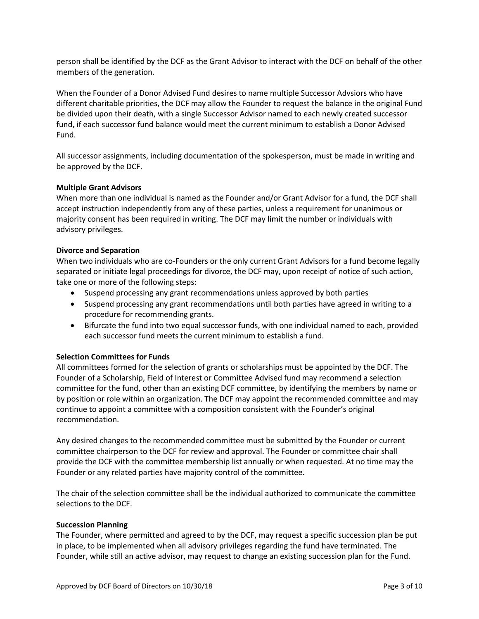person shall be identified by the DCF as the Grant Advisor to interact with the DCF on behalf of the other members of the generation.

When the Founder of a Donor Advised Fund desires to name multiple Successor Advsiors who have different charitable priorities, the DCF may allow the Founder to request the balance in the original Fund be divided upon their death, with a single Successor Advisor named to each newly created successor fund, if each successor fund balance would meet the current minimum to establish a Donor Advised Fund.

All successor assignments, including documentation of the spokesperson, must be made in writing and be approved by the DCF.

## **Multiple Grant Advisors**

When more than one individual is named as the Founder and/or Grant Advisor for a fund, the DCF shall accept instruction independently from any of these parties, unless a requirement for unanimous or majority consent has been required in writing. The DCF may limit the number or individuals with advisory privileges.

### **Divorce and Separation**

When two individuals who are co-Founders or the only current Grant Advisors for a fund become legally separated or initiate legal proceedings for divorce, the DCF may, upon receipt of notice of such action, take one or more of the following steps:

- Suspend processing any grant recommendations unless approved by both parties
- Suspend processing any grant recommendations until both parties have agreed in writing to a procedure for recommending grants.
- Bifurcate the fund into two equal successor funds, with one individual named to each, provided each successor fund meets the current minimum to establish a fund.

### **Selection Committees for Funds**

All committees formed for the selection of grants or scholarships must be appointed by the DCF. The Founder of a Scholarship, Field of Interest or Committee Advised fund may recommend a selection committee for the fund, other than an existing DCF committee, by identifying the members by name or by position or role within an organization. The DCF may appoint the recommended committee and may continue to appoint a committee with a composition consistent with the Founder's original recommendation.

Any desired changes to the recommended committee must be submitted by the Founder or current committee chairperson to the DCF for review and approval. The Founder or committee chair shall provide the DCF with the committee membership list annually or when requested. At no time may the Founder or any related parties have majority control of the committee.

The chair of the selection committee shall be the individual authorized to communicate the committee selections to the DCF.

### **Succession Planning**

The Founder, where permitted and agreed to by the DCF, may request a specific succession plan be put in place, to be implemented when all advisory privileges regarding the fund have terminated. The Founder, while still an active advisor, may request to change an existing succession plan for the Fund.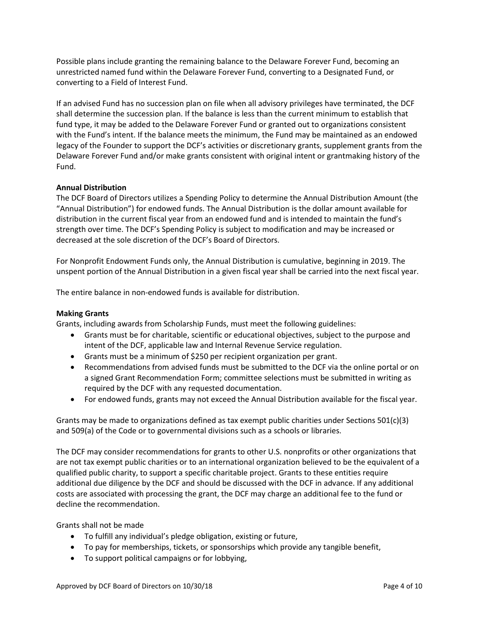Possible plans include granting the remaining balance to the Delaware Forever Fund, becoming an unrestricted named fund within the Delaware Forever Fund, converting to a Designated Fund, or converting to a Field of Interest Fund.

If an advised Fund has no succession plan on file when all advisory privileges have terminated, the DCF shall determine the succession plan. If the balance is less than the current minimum to establish that fund type, it may be added to the Delaware Forever Fund or granted out to organizations consistent with the Fund's intent. If the balance meets the minimum, the Fund may be maintained as an endowed legacy of the Founder to support the DCF's activities or discretionary grants, supplement grants from the Delaware Forever Fund and/or make grants consistent with original intent or grantmaking history of the Fund.

# **Annual Distribution**

The DCF Board of Directors utilizes a Spending Policy to determine the Annual Distribution Amount (the "Annual Distribution") for endowed funds. The Annual Distribution is the dollar amount available for distribution in the current fiscal year from an endowed fund and is intended to maintain the fund's strength over time. The DCF's Spending Policy is subject to modification and may be increased or decreased at the sole discretion of the DCF's Board of Directors.

For Nonprofit Endowment Funds only, the Annual Distribution is cumulative, beginning in 2019. The unspent portion of the Annual Distribution in a given fiscal year shall be carried into the next fiscal year.

The entire balance in non-endowed funds is available for distribution.

# **Making Grants**

Grants, including awards from Scholarship Funds, must meet the following guidelines:

- Grants must be for charitable, scientific or educational objectives, subject to the purpose and intent of the DCF, applicable law and Internal Revenue Service regulation.
- Grants must be a minimum of \$250 per recipient organization per grant.
- Recommendations from advised funds must be submitted to the DCF via the online portal or on a signed Grant Recommendation Form; committee selections must be submitted in writing as required by the DCF with any requested documentation.
- For endowed funds, grants may not exceed the Annual Distribution available for the fiscal year.

Grants may be made to organizations defined as tax exempt public charities under Sections  $501(c)(3)$ and 509(a) of the Code or to governmental divisions such as a schools or libraries.

The DCF may consider recommendations for grants to other U.S. nonprofits or other organizations that are not tax exempt public charities or to an international organization believed to be the equivalent of a qualified public charity, to support a specific charitable project. Grants to these entities require additional due diligence by the DCF and should be discussed with the DCF in advance. If any additional costs are associated with processing the grant, the DCF may charge an additional fee to the fund or decline the recommendation.

Grants shall not be made

- To fulfill any individual's pledge obligation, existing or future,
- To pay for memberships, tickets, or sponsorships which provide any tangible benefit,
- To support political campaigns or for lobbying,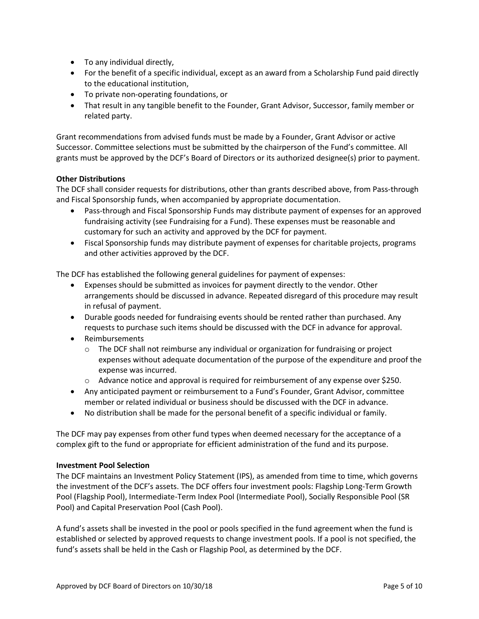- To any individual directly,
- For the benefit of a specific individual, except as an award from a Scholarship Fund paid directly to the educational institution,
- To private non-operating foundations, or
- That result in any tangible benefit to the Founder, Grant Advisor, Successor, family member or related party.

Grant recommendations from advised funds must be made by a Founder, Grant Advisor or active Successor. Committee selections must be submitted by the chairperson of the Fund's committee. All grants must be approved by the DCF's Board of Directors or its authorized designee(s) prior to payment.

# **Other Distributions**

The DCF shall consider requests for distributions, other than grants described above, from Pass-through and Fiscal Sponsorship funds, when accompanied by appropriate documentation.

- Pass-through and Fiscal Sponsorship Funds may distribute payment of expenses for an approved fundraising activity (see Fundraising for a Fund). These expenses must be reasonable and customary for such an activity and approved by the DCF for payment.
- Fiscal Sponsorship funds may distribute payment of expenses for charitable projects, programs and other activities approved by the DCF.

The DCF has established the following general guidelines for payment of expenses:

- Expenses should be submitted as invoices for payment directly to the vendor. Other arrangements should be discussed in advance. Repeated disregard of this procedure may result in refusal of payment.
- Durable goods needed for fundraising events should be rented rather than purchased. Any requests to purchase such items should be discussed with the DCF in advance for approval.
- Reimbursements
	- $\circ$  The DCF shall not reimburse any individual or organization for fundraising or project expenses without adequate documentation of the purpose of the expenditure and proof the expense was incurred.
	- o Advance notice and approval is required for reimbursement of any expense over \$250.
- Any anticipated payment or reimbursement to a Fund's Founder, Grant Advisor, committee member or related individual or business should be discussed with the DCF in advance.
- No distribution shall be made for the personal benefit of a specific individual or family.

The DCF may pay expenses from other fund types when deemed necessary for the acceptance of a complex gift to the fund or appropriate for efficient administration of the fund and its purpose.

### **Investment Pool Selection**

The DCF maintains an Investment Policy Statement (IPS), as amended from time to time, which governs the investment of the DCF's assets. The DCF offers four investment pools: Flagship Long-Term Growth Pool (Flagship Pool), Intermediate-Term Index Pool (Intermediate Pool), Socially Responsible Pool (SR Pool) and Capital Preservation Pool (Cash Pool).

A fund's assets shall be invested in the pool or pools specified in the fund agreement when the fund is established or selected by approved requests to change investment pools. If a pool is not specified, the fund's assets shall be held in the Cash or Flagship Pool, as determined by the DCF.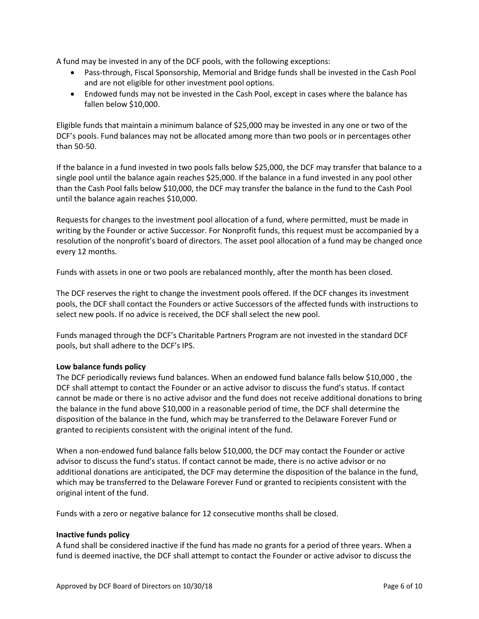A fund may be invested in any of the DCF pools, with the following exceptions:

- Pass-through, Fiscal Sponsorship, Memorial and Bridge funds shall be invested in the Cash Pool and are not eligible for other investment pool options.
- Endowed funds may not be invested in the Cash Pool, except in cases where the balance has fallen below \$10,000.

Eligible funds that maintain a minimum balance of \$25,000 may be invested in any one or two of the DCF's pools. Fund balances may not be allocated among more than two pools or in percentages other than 50-50.

If the balance in a fund invested in two pools falls below \$25,000, the DCF may transfer that balance to a single pool until the balance again reaches \$25,000. If the balance in a fund invested in any pool other than the Cash Pool falls below \$10,000, the DCF may transfer the balance in the fund to the Cash Pool until the balance again reaches \$10,000.

Requests for changes to the investment pool allocation of a fund, where permitted, must be made in writing by the Founder or active Successor. For Nonprofit funds, this request must be accompanied by a resolution of the nonprofit's board of directors. The asset pool allocation of a fund may be changed once every 12 months.

Funds with assets in one or two pools are rebalanced monthly, after the month has been closed.

The DCF reserves the right to change the investment pools offered. If the DCF changes its investment pools, the DCF shall contact the Founders or active Successors of the affected funds with instructions to select new pools. If no advice is received, the DCF shall select the new pool.

Funds managed through the DCF's Charitable Partners Program are not invested in the standard DCF pools, but shall adhere to the DCF's IPS.

# **Low balance funds policy**

The DCF periodically reviews fund balances. When an endowed fund balance falls below \$10,000 , the DCF shall attempt to contact the Founder or an active advisor to discuss the fund's status. If contact cannot be made or there is no active advisor and the fund does not receive additional donations to bring the balance in the fund above \$10,000 in a reasonable period of time, the DCF shall determine the disposition of the balance in the fund, which may be transferred to the Delaware Forever Fund or granted to recipients consistent with the original intent of the fund.

When a non-endowed fund balance falls below \$10,000, the DCF may contact the Founder or active advisor to discuss the fund's status. If contact cannot be made, there is no active advisor or no additional donations are anticipated, the DCF may determine the disposition of the balance in the fund, which may be transferred to the Delaware Forever Fund or granted to recipients consistent with the original intent of the fund.

Funds with a zero or negative balance for 12 consecutive months shall be closed.

### **Inactive funds policy**

A fund shall be considered inactive if the fund has made no grants for a period of three years. When a fund is deemed inactive, the DCF shall attempt to contact the Founder or active advisor to discuss the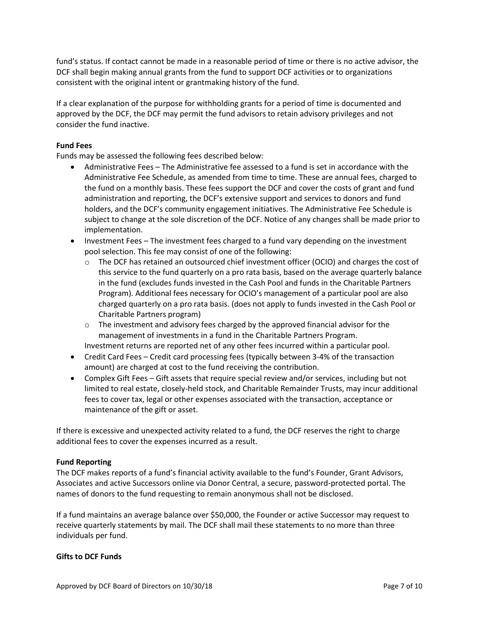fund's status. If contact cannot be made in a reasonable period of time or there is no active advisor, the DCF shall begin making annual grants from the fund to support DCF activities or to organizations consistent with the original intent or grantmaking history of the fund.

If a clear explanation of the purpose for withholding grants for a period of time is documented and approved by the DCF, the DCF may permit the fund advisors to retain advisory privileges and not consider the fund inactive.

## **Fund Fees**

Funds may be assessed the following fees described below:

- Administrative Fees The Administrative fee assessed to a fund is set in accordance with the Administrative Fee Schedule, as amended from time to time. These are annual fees, charged to the fund on a monthly basis. These fees support the DCF and cover the costs of grant and fund administration and reporting, the DCF's extensive support and services to donors and fund holders, and the DCF's community engagement initiatives. The Administrative Fee Schedule is subject to change at the sole discretion of the DCF. Notice of any changes shall be made prior to implementation.
- Investment Fees The investment fees charged to a fund vary depending on the investment pool selection. This fee may consist of one of the following:
	- o The DCF has retained an outsourced chief investment officer (OCIO) and charges the cost of this service to the fund quarterly on a pro rata basis, based on the average quarterly balance in the fund (excludes funds invested in the Cash Pool and funds in the Charitable Partners Program). Additional fees necessary for OCIO's management of a particular pool are also charged quarterly on a pro rata basis. (does not apply to funds invested in the Cash Pool or Charitable Partners program)
	- $\circ$  The investment and advisory fees charged by the approved financial advisor for the management of investments in a fund in the Charitable Partners Program.
	- Investment returns are reported net of any other fees incurred within a particular pool.
- Credit Card Fees Credit card processing fees (typically between 3-4% of the transaction amount) are charged at cost to the fund receiving the contribution.
- Complex Gift Fees Gift assets that require special review and/or services, including but not limited to real estate, closely-held stock, and Charitable Remainder Trusts, may incur additional fees to cover tax, legal or other expenses associated with the transaction, acceptance or maintenance of the gift or asset.

If there is excessive and unexpected activity related to a fund, the DCF reserves the right to charge additional fees to cover the expenses incurred as a result.

### **Fund Reporting**

The DCF makes reports of a fund's financial activity available to the fund's Founder, Grant Advisors, Associates and active Successors online via Donor Central, a secure, password-protected portal. The names of donors to the fund requesting to remain anonymous shall not be disclosed.

If a fund maintains an average balance over \$50,000, the Founder or active Successor may request to receive quarterly statements by mail. The DCF shall mail these statements to no more than three individuals per fund.

# **Gifts to DCF Funds**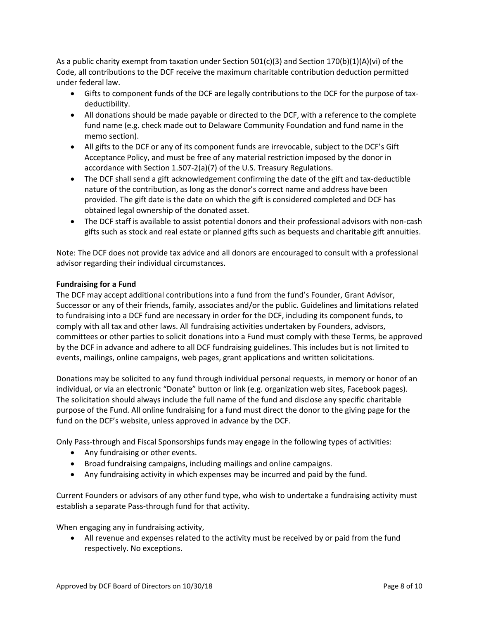As a public charity exempt from taxation under Section 501(c)(3) and Section 170(b)(1)(A)(vi) of the Code, all contributions to the DCF receive the maximum charitable contribution deduction permitted under federal law.

- Gifts to component funds of the DCF are legally contributions to the DCF for the purpose of taxdeductibility.
- All donations should be made payable or directed to the DCF, with a reference to the complete fund name (e.g. check made out to Delaware Community Foundation and fund name in the memo section).
- All gifts to the DCF or any of its component funds are irrevocable, subject to the DCF's Gift Acceptance Policy, and must be free of any material restriction imposed by the donor in accordance with Section 1.507-2(a)(7) of the U.S. Treasury Regulations.
- The DCF shall send a gift acknowledgement confirming the date of the gift and tax-deductible nature of the contribution, as long as the donor's correct name and address have been provided. The gift date is the date on which the gift is considered completed and DCF has obtained legal ownership of the donated asset.
- The DCF staff is available to assist potential donors and their professional advisors with non-cash gifts such as stock and real estate or planned gifts such as bequests and charitable gift annuities.

Note: The DCF does not provide tax advice and all donors are encouraged to consult with a professional advisor regarding their individual circumstances.

# **Fundraising for a Fund**

The DCF may accept additional contributions into a fund from the fund's Founder, Grant Advisor, Successor or any of their friends, family, associates and/or the public. Guidelines and limitations related to fundraising into a DCF fund are necessary in order for the DCF, including its component funds, to comply with all tax and other laws. All fundraising activities undertaken by Founders, advisors, committees or other parties to solicit donations into a Fund must comply with these Terms, be approved by the DCF in advance and adhere to all DCF fundraising guidelines. This includes but is not limited to events, mailings, online campaigns, web pages, grant applications and written solicitations.

Donations may be solicited to any fund through individual personal requests, in memory or honor of an individual, or via an electronic "Donate" button or link (e.g. organization web sites, Facebook pages). The solicitation should always include the full name of the fund and disclose any specific charitable purpose of the Fund. All online fundraising for a fund must direct the donor to the giving page for the fund on the DCF's website, unless approved in advance by the DCF.

Only Pass-through and Fiscal Sponsorships funds may engage in the following types of activities:

- Any fundraising or other events.
- Broad fundraising campaigns, including mailings and online campaigns.
- Any fundraising activity in which expenses may be incurred and paid by the fund.

Current Founders or advisors of any other fund type, who wish to undertake a fundraising activity must establish a separate Pass-through fund for that activity.

When engaging any in fundraising activity,

 All revenue and expenses related to the activity must be received by or paid from the fund respectively. No exceptions.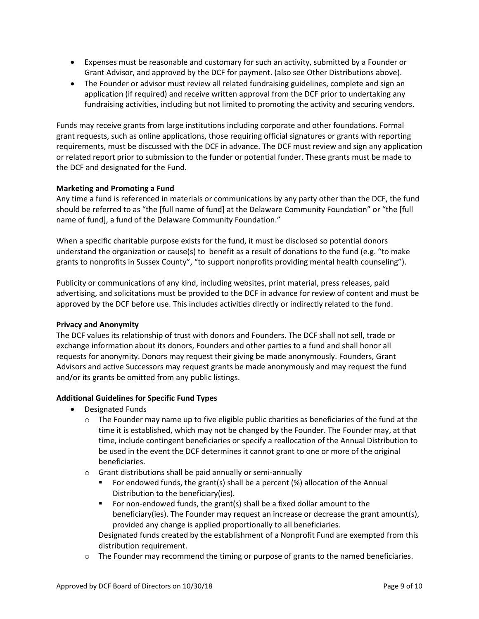- Expenses must be reasonable and customary for such an activity, submitted by a Founder or Grant Advisor, and approved by the DCF for payment. (also see Other Distributions above).
- The Founder or advisor must review all related fundraising guidelines, complete and sign an application (if required) and receive written approval from the DCF prior to undertaking any fundraising activities, including but not limited to promoting the activity and securing vendors.

Funds may receive grants from large institutions including corporate and other foundations. Formal grant requests, such as online applications, those requiring official signatures or grants with reporting requirements, must be discussed with the DCF in advance. The DCF must review and sign any application or related report prior to submission to the funder or potential funder. These grants must be made to the DCF and designated for the Fund.

## **Marketing and Promoting a Fund**

Any time a fund is referenced in materials or communications by any party other than the DCF, the fund should be referred to as "the [full name of fund] at the Delaware Community Foundation" or "the [full name of fund], a fund of the Delaware Community Foundation."

When a specific charitable purpose exists for the fund, it must be disclosed so potential donors understand the organization or cause(s) to benefit as a result of donations to the fund (e.g. "to make grants to nonprofits in Sussex County", "to support nonprofits providing mental health counseling").

Publicity or communications of any kind, including websites, print material, press releases, paid advertising, and solicitations must be provided to the DCF in advance for review of content and must be approved by the DCF before use. This includes activities directly or indirectly related to the fund.

### **Privacy and Anonymity**

The DCF values its relationship of trust with donors and Founders. The DCF shall not sell, trade or exchange information about its donors, Founders and other parties to a fund and shall honor all requests for anonymity. Donors may request their giving be made anonymously. Founders, Grant Advisors and active Successors may request grants be made anonymously and may request the fund and/or its grants be omitted from any public listings.

# **Additional Guidelines for Specific Fund Types**

- Designated Funds
	- $\circ$  The Founder may name up to five eligible public charities as beneficiaries of the fund at the time it is established, which may not be changed by the Founder. The Founder may, at that time, include contingent beneficiaries or specify a reallocation of the Annual Distribution to be used in the event the DCF determines it cannot grant to one or more of the original beneficiaries.
	- o Grant distributions shall be paid annually or semi-annually
		- For endowed funds, the grant(s) shall be a percent (%) allocation of the Annual Distribution to the beneficiary(ies).
		- For non-endowed funds, the grant(s) shall be a fixed dollar amount to the beneficiary(ies). The Founder may request an increase or decrease the grant amount(s), provided any change is applied proportionally to all beneficiaries.

Designated funds created by the establishment of a Nonprofit Fund are exempted from this distribution requirement.

 $\circ$  The Founder may recommend the timing or purpose of grants to the named beneficiaries.